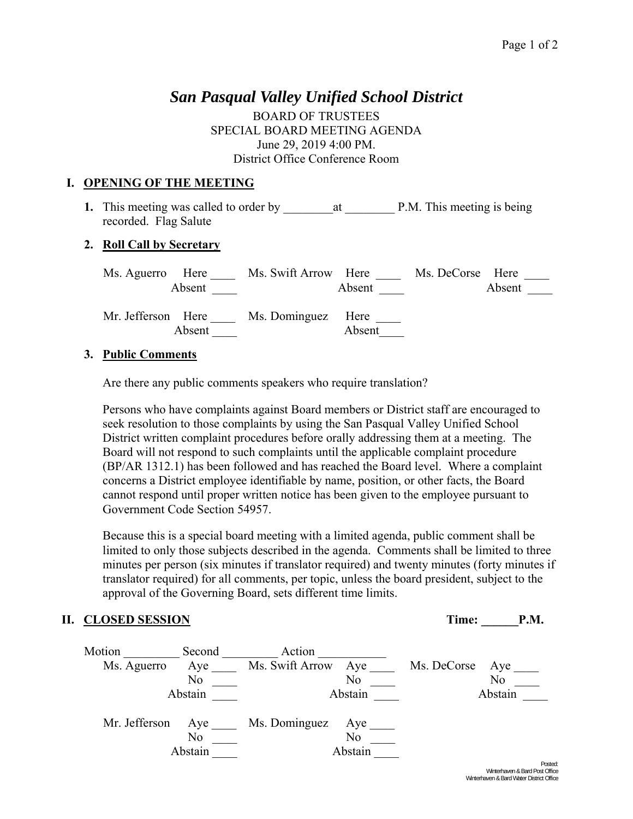# *San Pasqual Valley Unified School District*

BOARD OF TRUSTEES SPECIAL BOARD MEETING AGENDA June 29, 2019 4:00 PM. District Office Conference Room

## **I. OPENING OF THE MEETING**

**1.** This meeting was called to order by \_\_\_\_\_\_\_\_at \_\_\_\_\_\_\_\_ P.M. This meeting is being recorded. Flag Salute

#### **2. Roll Call by Secretary**

| Ms. Aguerro Here             | Ms. Swift Arrow Here |        | Ms. DeCorse Here |
|------------------------------|----------------------|--------|------------------|
| Absent                       |                      | Absent | Absent           |
| Mr. Jefferson Here<br>Absent | Ms. Dominguez Here   | Absent |                  |

#### **3. Public Comments**

Are there any public comments speakers who require translation?

Persons who have complaints against Board members or District staff are encouraged to seek resolution to those complaints by using the San Pasqual Valley Unified School District written complaint procedures before orally addressing them at a meeting. The Board will not respond to such complaints until the applicable complaint procedure (BP/AR 1312.1) has been followed and has reached the Board level. Where a complaint concerns a District employee identifiable by name, position, or other facts, the Board cannot respond until proper written notice has been given to the employee pursuant to Government Code Section 54957.

Because this is a special board meeting with a limited agenda, public comment shall be limited to only those subjects described in the agenda. Comments shall be limited to three minutes per person (six minutes if translator required) and twenty minutes (forty minutes if translator required) for all comments, per topic, unless the board president, subject to the approval of the Governing Board, sets different time limits.

## **II. CLOSED SESSION** Time: **P.M.**